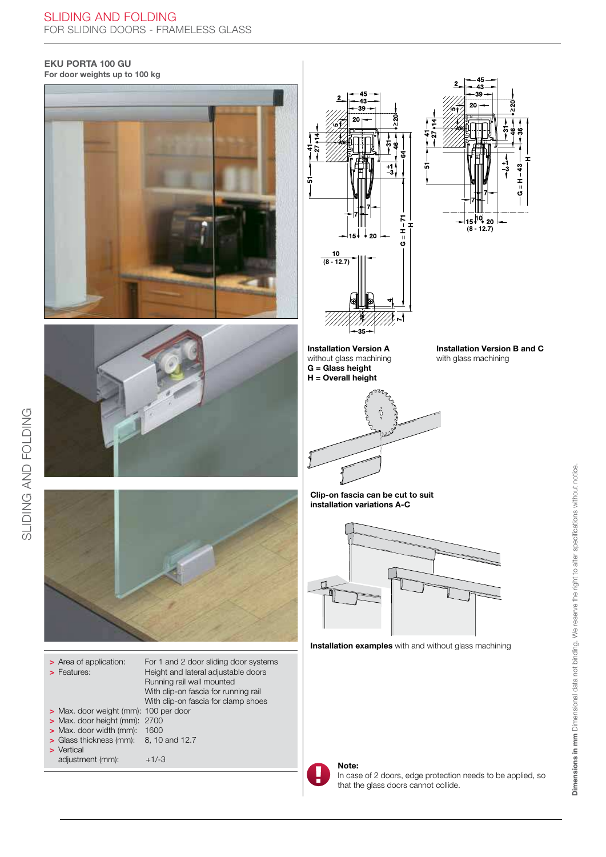## EKU PORTA 100 GU

For door weights up to 100 kg





SLIDING AND FOLDING SLIDING AND FOLDING



| > Area of application:<br>> Features:                 | For 1 and 2 door sliding door systems<br>Height and lateral adjustable doors<br>Running rail wall mounted<br>With clip-on fascia for running rail<br>With clip-on fascia for clamp shoes |
|-------------------------------------------------------|------------------------------------------------------------------------------------------------------------------------------------------------------------------------------------------|
| > Max. door weight (mm): 100 per door                 |                                                                                                                                                                                          |
| > Max. door height (mm): 2700                         |                                                                                                                                                                                          |
| > Max. door width (mm):                               | 1600                                                                                                                                                                                     |
| $\triangleright$ Glass thickness (mm): 8, 10 and 12.7 |                                                                                                                                                                                          |
| > Vertical                                            |                                                                                                                                                                                          |
| adjustment (mm):                                      | $+1/-3$                                                                                                                                                                                  |





Installation Version A without glass machining  $G =$  Glass height  $H =$  Overall height



Installation Version B and C with glass machining

Clip-on fascia can be cut to suit installation variations A-C



**Installation examples** with and without glass machining



Note:

In case of 2 doors, edge protection needs to be applied, so that the glass doors cannot collide.